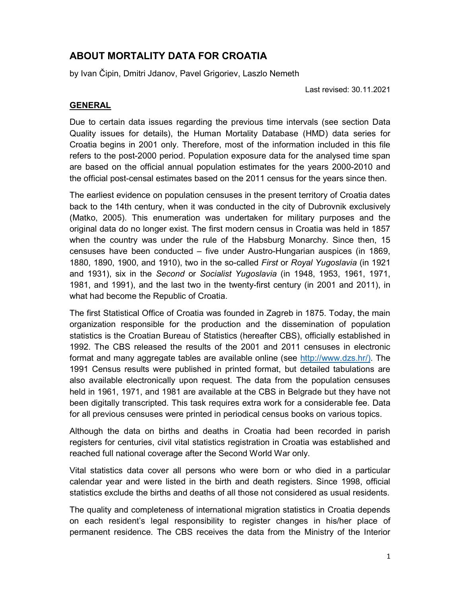# ABOUT MORTALITY DATA FOR CROATIA

by Ivan Čipin, Dmitri Jdanov, Pavel Grigoriev, Laszlo Nemeth

Last revised: 30.11.2021

## GENERAL

Due to certain data issues regarding the previous time intervals (see section Data Quality issues for details), the Human Mortality Database (HMD) data series for Croatia begins in 2001 only. Therefore, most of the information included in this file refers to the post-2000 period. Population exposure data for the analysed time span are based on the official annual population estimates for the years 2000-2010 and the official post-censal estimates based on the 2011 census for the years since then.

The earliest evidence on population censuses in the present territory of Croatia dates back to the 14th century, when it was conducted in the city of Dubrovnik exclusively (Matko, 2005). This enumeration was undertaken for military purposes and the original data do no longer exist. The first modern census in Croatia was held in 1857 when the country was under the rule of the Habsburg Monarchy. Since then, 15 censuses have been conducted – five under Austro-Hungarian auspices (in 1869, 1880, 1890, 1900, and 1910), two in the so-called First or Royal Yugoslavia (in 1921 and 1931), six in the Second or Socialist Yugoslavia (in 1948, 1953, 1961, 1971, 1981, and 1991), and the last two in the twenty-first century (in 2001 and 2011), in what had become the Republic of Croatia.

The first Statistical Office of Croatia was founded in Zagreb in 1875. Today, the main organization responsible for the production and the dissemination of population statistics is the Croatian Bureau of Statistics (hereafter CBS), officially established in 1992. The CBS released the results of the 2001 and 2011 censuses in electronic format and many aggregate tables are available online (see http://www.dzs.hr/). The 1991 Census results were published in printed format, but detailed tabulations are also available electronically upon request. The data from the population censuses held in 1961, 1971, and 1981 are available at the CBS in Belgrade but they have not been digitally transcripted. This task requires extra work for a considerable fee. Data for all previous censuses were printed in periodical census books on various topics.

Although the data on births and deaths in Croatia had been recorded in parish registers for centuries, civil vital statistics registration in Croatia was established and reached full national coverage after the Second World War only.

Vital statistics data cover all persons who were born or who died in a particular calendar year and were listed in the birth and death registers. Since 1998, official statistics exclude the births and deaths of all those not considered as usual residents.

The quality and completeness of international migration statistics in Croatia depends on each resident's legal responsibility to register changes in his/her place of permanent residence. The CBS receives the data from the Ministry of the Interior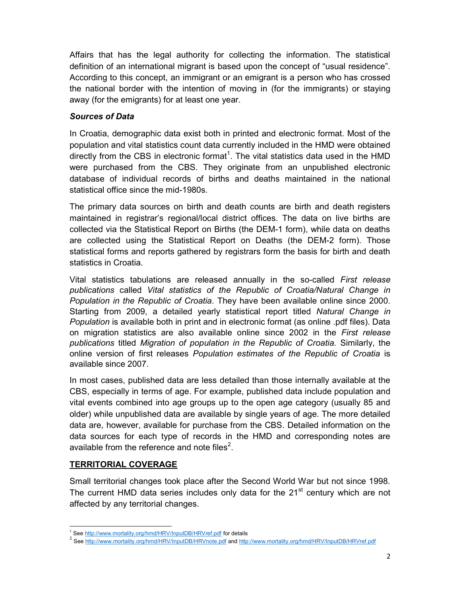Affairs that has the legal authority for collecting the information. The statistical definition of an international migrant is based upon the concept of "usual residence". According to this concept, an immigrant or an emigrant is a person who has crossed the national border with the intention of moving in (for the immigrants) or staying away (for the emigrants) for at least one year.

### Sources of Data

In Croatia, demographic data exist both in printed and electronic format. Most of the population and vital statistics count data currently included in the HMD were obtained directly from the CBS in electronic format<sup>1</sup>. The vital statistics data used in the HMD were purchased from the CBS. They originate from an unpublished electronic database of individual records of births and deaths maintained in the national statistical office since the mid-1980s.

The primary data sources on birth and death counts are birth and death registers maintained in registrar's regional/local district offices. The data on live births are collected via the Statistical Report on Births (the DEM-1 form), while data on deaths are collected using the Statistical Report on Deaths (the DEM-2 form). Those statistical forms and reports gathered by registrars form the basis for birth and death statistics in Croatia.

Vital statistics tabulations are released annually in the so-called *First release* publications called Vital statistics of the Republic of Croatia/Natural Change in Population in the Republic of Croatia. They have been available online since 2000. Starting from 2009, a detailed yearly statistical report titled Natural Change in Population is available both in print and in electronic format (as online .pdf files). Data on migration statistics are also available online since 2002 in the First release publications titled Migration of population in the Republic of Croatia. Similarly, the online version of first releases Population estimates of the Republic of Croatia is available since 2007.

In most cases, published data are less detailed than those internally available at the CBS, especially in terms of age. For example, published data include population and vital events combined into age groups up to the open age category (usually 85 and older) while unpublished data are available by single years of age. The more detailed data are, however, available for purchase from the CBS. Detailed information on the data sources for each type of records in the HMD and corresponding notes are available from the reference and note files<sup>2</sup>.

## TERRITORIAL COVERAGE

Small territorial changes took place after the Second World War but not since 1998. The current HMD data series includes only data for the  $21<sup>st</sup>$  century which are not affected by any territorial changes.

 1 See http://www.mortality.org/hmd/HRV/InputDB/HRVref.pdf for details

<sup>&</sup>lt;sup>2</sup> See http://www.mortality.org/hmd/HRV/InputDB/HRVnote.pdf and http://www.mortality.org/hmd/HRV/InputDB/HRVref.pdf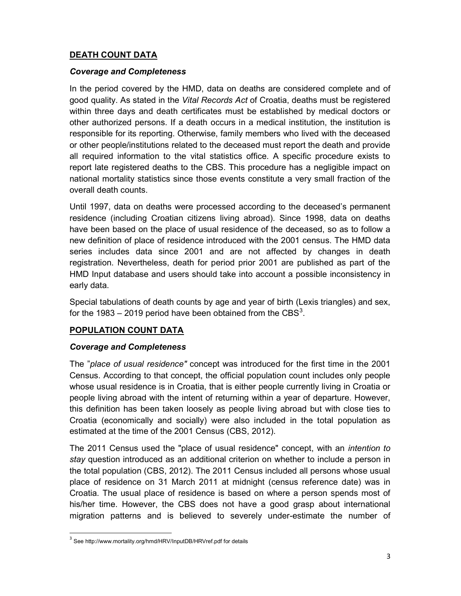## DEATH COUNT DATA

#### Coverage and Completeness

In the period covered by the HMD, data on deaths are considered complete and of good quality. As stated in the Vital Records Act of Croatia, deaths must be registered within three days and death certificates must be established by medical doctors or other authorized persons. If a death occurs in a medical institution, the institution is responsible for its reporting. Otherwise, family members who lived with the deceased or other people/institutions related to the deceased must report the death and provide all required information to the vital statistics office. A specific procedure exists to report late registered deaths to the CBS. This procedure has a negligible impact on national mortality statistics since those events constitute a very small fraction of the overall death counts.

Until 1997, data on deaths were processed according to the deceased's permanent residence (including Croatian citizens living abroad). Since 1998, data on deaths have been based on the place of usual residence of the deceased, so as to follow a new definition of place of residence introduced with the 2001 census. The HMD data series includes data since 2001 and are not affected by changes in death registration. Nevertheless, death for period prior 2001 are published as part of the HMD Input database and users should take into account a possible inconsistency in early data.

Special tabulations of death counts by age and year of birth (Lexis triangles) and sex, for the 1983 – 2019 period have been obtained from the  $\mathsf{CBS}^3$ .

### POPULATION COUNT DATA

#### Coverage and Completeness

The "place of usual residence" concept was introduced for the first time in the 2001 Census. According to that concept, the official population count includes only people whose usual residence is in Croatia, that is either people currently living in Croatia or people living abroad with the intent of returning within a year of departure. However, this definition has been taken loosely as people living abroad but with close ties to Croatia (economically and socially) were also included in the total population as estimated at the time of the 2001 Census (CBS, 2012).

The 2011 Census used the "place of usual residence" concept, with an intention to stay question introduced as an additional criterion on whether to include a person in the total population (CBS, 2012). The 2011 Census included all persons whose usual place of residence on 31 March 2011 at midnight (census reference date) was in Croatia. The usual place of residence is based on where a person spends most of his/her time. However, the CBS does not have a good grasp about international migration patterns and is believed to severely under-estimate the number of

-

<sup>&</sup>lt;sup>3</sup> See http://www.mortality.org/hmd/HRV/InputDB/HRVref.pdf for details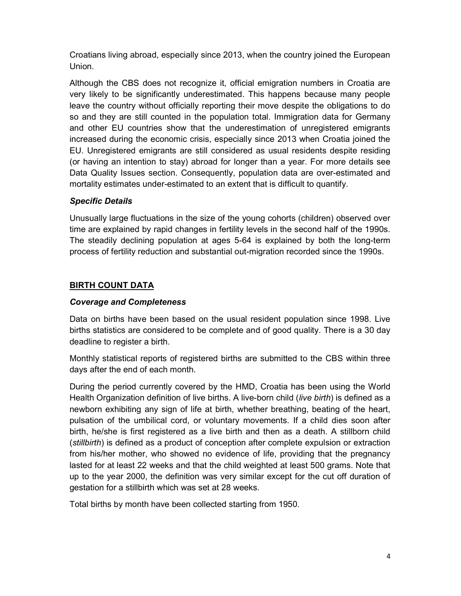Croatians living abroad, especially since 2013, when the country joined the European Union.

Although the CBS does not recognize it, official emigration numbers in Croatia are very likely to be significantly underestimated. This happens because many people leave the country without officially reporting their move despite the obligations to do so and they are still counted in the population total. Immigration data for Germany and other EU countries show that the underestimation of unregistered emigrants increased during the economic crisis, especially since 2013 when Croatia joined the EU. Unregistered emigrants are still considered as usual residents despite residing (or having an intention to stay) abroad for longer than a year. For more details see Data Quality Issues section. Consequently, population data are over-estimated and mortality estimates under-estimated to an extent that is difficult to quantify.

### Specific Details

Unusually large fluctuations in the size of the young cohorts (children) observed over time are explained by rapid changes in fertility levels in the second half of the 1990s. The steadily declining population at ages 5-64 is explained by both the long-term process of fertility reduction and substantial out-migration recorded since the 1990s.

### BIRTH COUNT DATA

#### Coverage and Completeness

Data on births have been based on the usual resident population since 1998. Live births statistics are considered to be complete and of good quality. There is a 30 day deadline to register a birth.

Monthly statistical reports of registered births are submitted to the CBS within three days after the end of each month.

During the period currently covered by the HMD, Croatia has been using the World Health Organization definition of live births. A live-born child *(live birth)* is defined as a newborn exhibiting any sign of life at birth, whether breathing, beating of the heart, pulsation of the umbilical cord, or voluntary movements. If a child dies soon after birth, he/she is first registered as a live birth and then as a death. A stillborn child (stillbirth) is defined as a product of conception after complete expulsion or extraction from his/her mother, who showed no evidence of life, providing that the pregnancy lasted for at least 22 weeks and that the child weighted at least 500 grams. Note that up to the year 2000, the definition was very similar except for the cut off duration of gestation for a stillbirth which was set at 28 weeks.

Total births by month have been collected starting from 1950.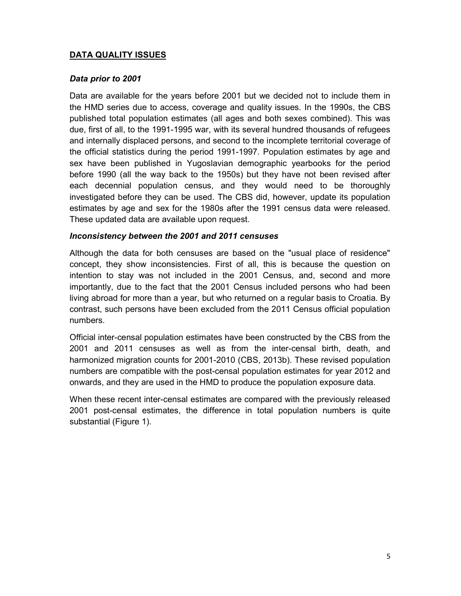### DATA QUALITY ISSUES

### Data prior to 2001

Data are available for the years before 2001 but we decided not to include them in the HMD series due to access, coverage and quality issues. In the 1990s, the CBS published total population estimates (all ages and both sexes combined). This was due, first of all, to the 1991-1995 war, with its several hundred thousands of refugees and internally displaced persons, and second to the incomplete territorial coverage of the official statistics during the period 1991-1997. Population estimates by age and sex have been published in Yugoslavian demographic yearbooks for the period before 1990 (all the way back to the 1950s) but they have not been revised after each decennial population census, and they would need to be thoroughly investigated before they can be used. The CBS did, however, update its population estimates by age and sex for the 1980s after the 1991 census data were released. These updated data are available upon request.

#### Inconsistency between the 2001 and 2011 censuses

Although the data for both censuses are based on the "usual place of residence" concept, they show inconsistencies. First of all, this is because the question on intention to stay was not included in the 2001 Census, and, second and more importantly, due to the fact that the 2001 Census included persons who had been living abroad for more than a year, but who returned on a regular basis to Croatia. By contrast, such persons have been excluded from the 2011 Census official population numbers.

Official inter-censal population estimates have been constructed by the CBS from the 2001 and 2011 censuses as well as from the inter-censal birth, death, and harmonized migration counts for 2001-2010 (CBS, 2013b). These revised population numbers are compatible with the post-censal population estimates for year 2012 and onwards, and they are used in the HMD to produce the population exposure data.

When these recent inter-censal estimates are compared with the previously released 2001 post-censal estimates, the difference in total population numbers is quite substantial (Figure 1).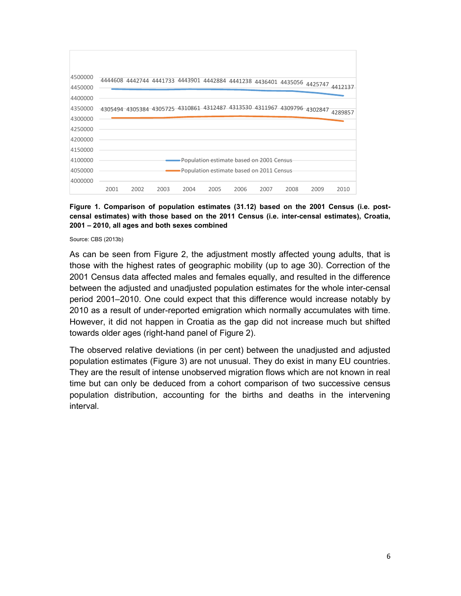

Figure 1. Comparison of population estimates (31.12) based on the 2001 Census (i.e. postcensal estimates) with those based on the 2011 Census (i.e. inter-censal estimates), Croatia, 2001 – 2010, all ages and both sexes combined

Source: CBS (2013b)

As can be seen from Figure 2, the adjustment mostly affected young adults, that is those with the highest rates of geographic mobility (up to age 30). Correction of the 2001 Census data affected males and females equally, and resulted in the difference between the adjusted and unadjusted population estimates for the whole inter-censal period 2001–2010. One could expect that this difference would increase notably by 2010 as a result of under-reported emigration which normally accumulates with time. However, it did not happen in Croatia as the gap did not increase much but shifted towards older ages (right-hand panel of Figure 2).

The observed relative deviations (in per cent) between the unadjusted and adjusted population estimates (Figure 3) are not unusual. They do exist in many EU countries. They are the result of intense unobserved migration flows which are not known in real time but can only be deduced from a cohort comparison of two successive census population distribution, accounting for the births and deaths in the intervening interval.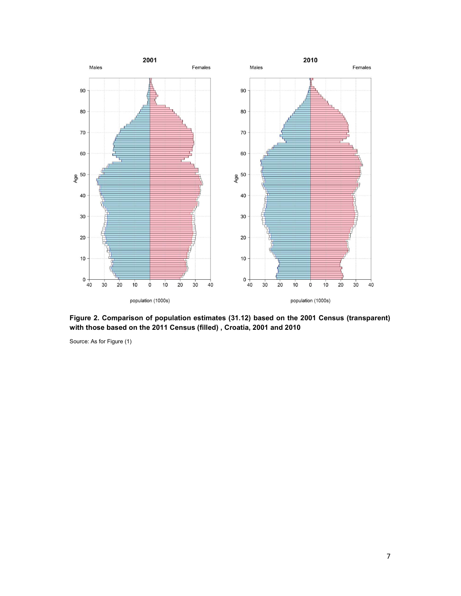

Figure 2. Comparison of population estimates (31.12) based on the 2001 Census (transparent) with those based on the 2011 Census (filled) , Croatia, 2001 and 2010

Source: As for Figure (1)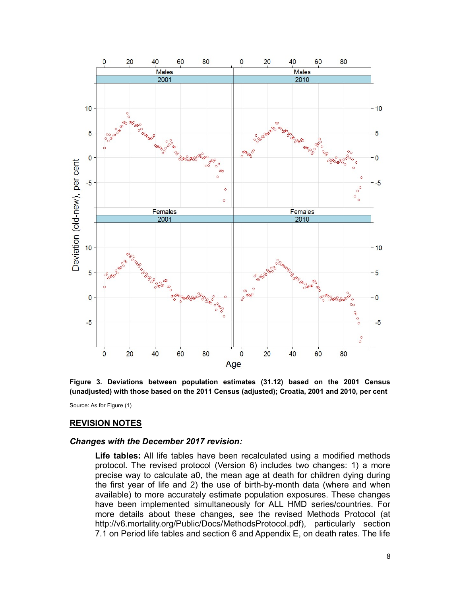

Figure 3. Deviations between population estimates (31.12) based on the 2001 Census (unadjusted) with those based on the 2011 Census (adjusted); Croatia, 2001 and 2010, per cent

Source: As for Figure (1)

#### REVISION NOTES

#### Changes with the December 2017 revision:

Life tables: All life tables have been recalculated using a modified methods protocol. The revised protocol (Version 6) includes two changes: 1) a more precise way to calculate a0, the mean age at death for children dying during the first year of life and 2) the use of birth-by-month data (where and when available) to more accurately estimate population exposures. These changes have been implemented simultaneously for ALL HMD series/countries. For more details about these changes, see the revised Methods Protocol (at http://v6.mortality.org/Public/Docs/MethodsProtocol.pdf), particularly section 7.1 on Period life tables and section 6 and Appendix E, on death rates. The life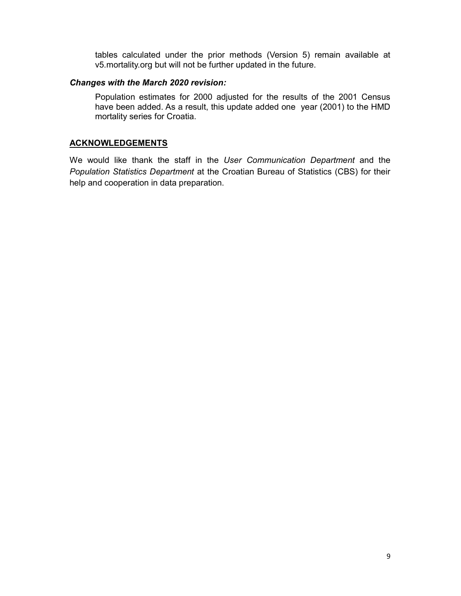tables calculated under the prior methods (Version 5) remain available at v5.mortality.org but will not be further updated in the future.

#### Changes with the March 2020 revision:

Population estimates for 2000 adjusted for the results of the 2001 Census have been added. As a result, this update added one year (2001) to the HMD mortality series for Croatia.

#### **ACKNOWLEDGEMENTS**

We would like thank the staff in the User Communication Department and the Population Statistics Department at the Croatian Bureau of Statistics (CBS) for their help and cooperation in data preparation.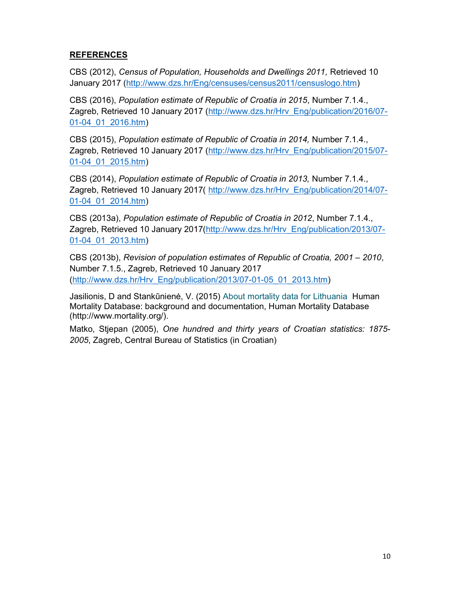## REFERENCES

CBS (2012), Census of Population, Households and Dwellings 2011, Retrieved 10 January 2017 (http://www.dzs.hr/Eng/censuses/census2011/censuslogo.htm)

CBS (2016), Population estimate of Republic of Croatia in 2015, Number 7.1.4., Zagreb, Retrieved 10 January 2017 (http://www.dzs.hr/Hrv\_Eng/publication/2016/07- 01-04\_01\_2016.htm)

CBS (2015), Population estimate of Republic of Croatia in 2014, Number 7.1.4., Zagreb, Retrieved 10 January 2017 (http://www.dzs.hr/Hrv\_Eng/publication/2015/07- 01-04\_01\_2015.htm)

CBS (2014), Population estimate of Republic of Croatia in 2013, Number 7.1.4., Zagreb, Retrieved 10 January 2017( http://www.dzs.hr/Hrv\_Eng/publication/2014/07- 01-04\_01\_2014.htm)

CBS (2013a), Population estimate of Republic of Croatia in 2012, Number 7.1.4., Zagreb, Retrieved 10 January 2017(http://www.dzs.hr/Hrv\_Eng/publication/2013/07- 01-04\_01\_2013.htm)

CBS (2013b), Revision of population estimates of Republic of Croatia, 2001 – 2010, Number 7.1.5., Zagreb, Retrieved 10 January 2017 (http://www.dzs.hr/Hrv\_Eng/publication/2013/07-01-05\_01\_2013.htm)

Jasilionis, D and Stankūnienė, V. (2015) About mortality data for Lithuania Human Mortality Database: background and documentation, Human Mortality Database (http://www.mortality.org/).

Matko, Stjepan (2005), One hundred and thirty years of Croatian statistics: 1875- 2005, Zagreb, Central Bureau of Statistics (in Croatian)